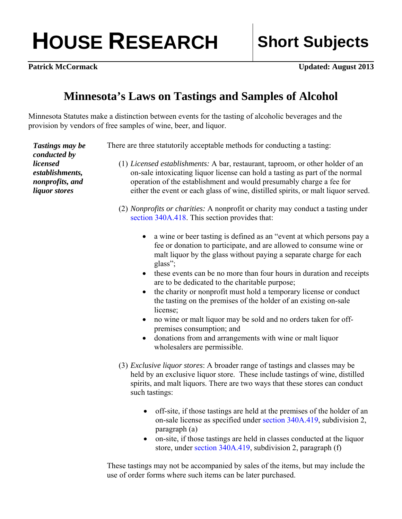## **HOUSE RESEARCH Short Subjects**

**Patrick McCormack** Updated: August 2013

## **Minnesota's Laws on Tastings and Samples of Alcohol**

Minnesota Statutes make a distinction between events for the tasting of alcoholic beverages and the provision by vendors of free samples of wine, beer, and liquor.

| <b>Tastings may be</b><br>conducted by                                 | There are three statutorily acceptable methods for conducting a tasting:                                                                                                                                                                                                                                                                                                                                                                                                                                                                                                                                                                                                                                                                                                 |
|------------------------------------------------------------------------|--------------------------------------------------------------------------------------------------------------------------------------------------------------------------------------------------------------------------------------------------------------------------------------------------------------------------------------------------------------------------------------------------------------------------------------------------------------------------------------------------------------------------------------------------------------------------------------------------------------------------------------------------------------------------------------------------------------------------------------------------------------------------|
| <i>licensed</i><br>establishments,<br>nonprofits, and<br>liquor stores | (1) Licensed establishments: A bar, restaurant, taproom, or other holder of an<br>on-sale intoxicating liquor license can hold a tasting as part of the normal<br>operation of the establishment and would presumably charge a fee for<br>either the event or each glass of wine, distilled spirits, or malt liquor served.                                                                                                                                                                                                                                                                                                                                                                                                                                              |
|                                                                        | (2) Nonprofits or charities: A nonprofit or charity may conduct a tasting under<br>section 340A.418. This section provides that:                                                                                                                                                                                                                                                                                                                                                                                                                                                                                                                                                                                                                                         |
|                                                                        | a wine or beer tasting is defined as an "event at which persons pay a<br>$\bullet$<br>fee or donation to participate, and are allowed to consume wine or<br>malt liquor by the glass without paying a separate charge for each<br>glass";<br>these events can be no more than four hours in duration and receipts<br>$\bullet$<br>are to be dedicated to the charitable purpose;<br>the charity or nonprofit must hold a temporary license or conduct<br>$\bullet$<br>the tasting on the premises of the holder of an existing on-sale<br>license;<br>no wine or malt liquor may be sold and no orders taken for off-<br>$\bullet$<br>premises consumption; and<br>donations from and arrangements with wine or malt liquor<br>$\bullet$<br>wholesalers are permissible. |
|                                                                        | (3) Exclusive liquor stores: A broader range of tastings and classes may be<br>held by an exclusive liquor store. These include tastings of wine, distilled<br>spirits, and malt liquors. There are two ways that these stores can conduct<br>such tastings:                                                                                                                                                                                                                                                                                                                                                                                                                                                                                                             |
|                                                                        | off-site, if those tastings are held at the premises of the holder of an<br>on-sale license as specified under section 340A.419, subdivision 2,<br>paragraph (a)<br>on-site, if those tastings are held in classes conducted at the liquor<br>store, under section 340A.419, subdivision 2, paragraph (f)                                                                                                                                                                                                                                                                                                                                                                                                                                                                |

These tastings may not be accompanied by sales of the items, but may include the use of order forms where such items can be later purchased.